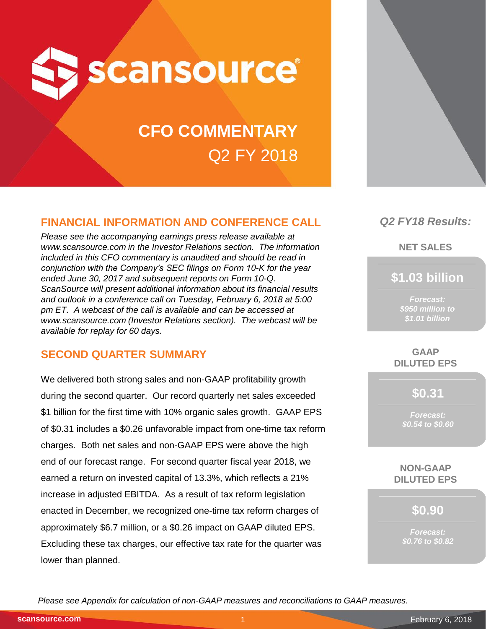

# **CFO COMMENTARY** Q2 FY 2018

## **FINANCIAL INFORMATION AND CONFERENCE CALL**

*Please see the accompanying earnings press release available at www.scansource.com in the Investor Relations section. The information included in this CFO commentary is unaudited and should be read in conjunction with the Company's SEC filings on Form 10-K for the year ended June 30, 2017 and subsequent reports on Form 10-Q. ScanSource will present additional information about its financial results and outlook in a conference call on Tuesday, February 6, 2018 at 5:00 pm ET. A webcast of the call is available and can be accessed at www.scansource.com (Investor Relations section). The webcast will be available for replay for 60 days.*

## **SECOND QUARTER SUMMARY**

We delivered both strong sales and non-GAAP profitability growth during the second quarter. Our record quarterly net sales exceeded \$1 billion for the first time with 10% organic sales growth. GAAP EPS of \$0.31 includes a \$0.26 unfavorable impact from one-time tax reform charges. Both net sales and non-GAAP EPS were above the high end of our forecast range. For second quarter fiscal year 2018, we earned a return on invested capital of 13.3%, which reflects a 21% increase in adjusted EBITDA. As a result of tax reform legislation enacted in December, we recognized one-time tax reform charges of approximately \$6.7 million, or a \$0.26 impact on GAAP diluted EPS. Excluding these tax charges, our effective tax rate for the quarter was lower than planned.

*Q2 FY18 Results:*

**NET SALES**

**\$1.03 billion**

*Forecast: \$950 million to \$1.01 billion*

**GAAP DILUTED EPS**

**\$0.31**

*Forecast: \$0.54 to \$0.60*

**NON-GAAP DILUTED EPS**

**\$0.90**

*Forecast: \$0.76 to \$0.82*

*Please see Appendix for calculation of non-GAAP measures and reconciliations to GAAP measures.*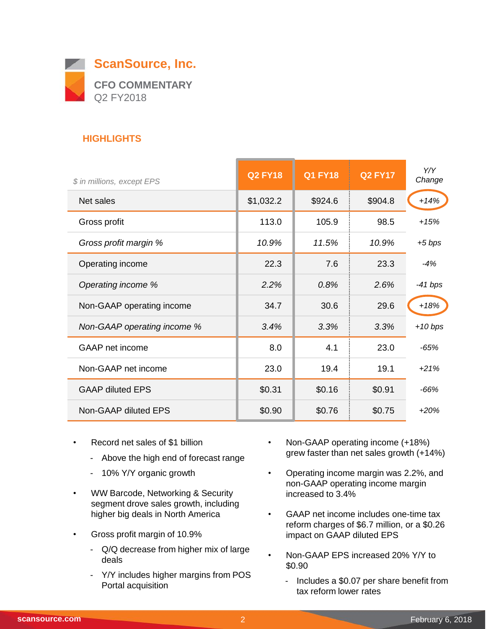

## **HIGHLIGHTS**

| \$ in millions, except EPS  | <b>Q2 FY18</b> | <b>Q1 FY18</b> | <b>Q2 FY17</b> | Y/Y<br>Change |
|-----------------------------|----------------|----------------|----------------|---------------|
| Net sales                   | \$1,032.2      | \$924.6        | \$904.8        | $+14%$        |
| Gross profit                | 113.0          | 105.9          | 98.5           | $+15%$        |
| Gross profit margin %       | 10.9%          | 11.5%          | 10.9%          | $+5$ bps      |
| Operating income            | 22.3           | 7.6            | 23.3           | $-4%$         |
| Operating income %          | 2.2%           | 0.8%           | 2.6%           | $-41$ bps     |
| Non-GAAP operating income   | 34.7           | 30.6           | 29.6           | $+18%$        |
| Non-GAAP operating income % | 3.4%           | 3.3%           | 3.3%           | $+10 bps$     |
| GAAP net income             | 8.0            | 4.1            | 23.0           | -65%          |
| Non-GAAP net income         | 23.0           | 19.4           | 19.1           | $+21%$        |
| <b>GAAP diluted EPS</b>     | \$0.31         | \$0.16         | \$0.91         | $-66%$        |
| Non-GAAP diluted EPS        | \$0.90         | \$0.76         | \$0.75         | $+20%$        |

- Record net sales of \$1 billion
	- Above the high end of forecast range
	- 10% Y/Y organic growth
- WW Barcode, Networking & Security segment drove sales growth, including higher big deals in North America
- Gross profit margin of 10.9%
	- Q/Q decrease from higher mix of large deals
	- Y/Y includes higher margins from POS Portal acquisition
- Non-GAAP operating income (+18%) grew faster than net sales growth (+14%)
- Operating income margin was 2.2%, and non-GAAP operating income margin increased to 3.4%
- GAAP net income includes one-time tax reform charges of \$6.7 million, or a \$0.26 impact on GAAP diluted EPS
- Non-GAAP EPS increased 20% Y/Y to \$0.90

 $\sim$ 

- Includes a \$0.07 per share benefit from tax reform lower rates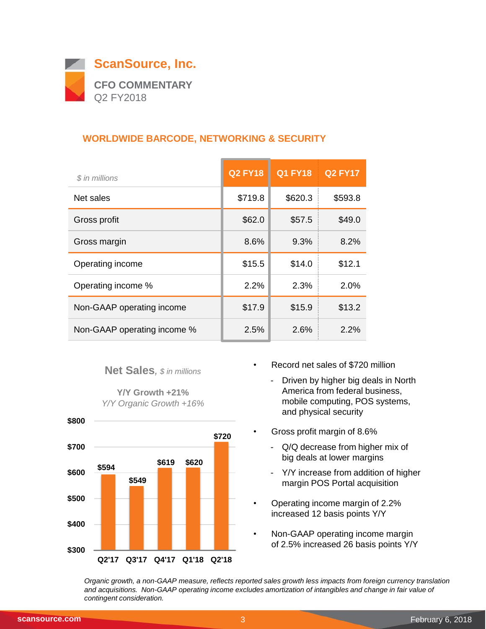

## **WORLDWIDE BARCODE, NETWORKING & SECURITY**

| \$ in millions              | <b>Q2 FY18</b> | <b>Q1 FY18</b> | <b>Q2 FY17</b> |
|-----------------------------|----------------|----------------|----------------|
| Net sales                   | \$719.8        | \$620.3        | \$593.8        |
| Gross profit                | \$62.0         | \$57.5         | \$49.0         |
| Gross margin                | 8.6%           | 9.3%           | 8.2%           |
| Operating income            | \$15.5         | \$14.0         | \$12.1         |
| Operating income %          | 2.2%           | 2.3%           | 2.0%           |
| Non-GAAP operating income   | \$17.9         | \$15.9         | \$13.2         |
| Non-GAAP operating income % | 2.5%           | 2.6%           | 2.2%           |

#### **Net Sales***, \$ in millions*

**Y/Y Growth +21%** *Y/Y Organic Growth +16%*



- Record net sales of \$720 million
	- Driven by higher big deals in North America from federal business, mobile computing, POS systems, and physical security
- Gross profit margin of 8.6%
	- Q/Q decrease from higher mix of big deals at lower margins
	- Y/Y increase from addition of higher margin POS Portal acquisition
- Operating income margin of 2.2% increased 12 basis points Y/Y
- Non-GAAP operating income margin of 2.5% increased 26 basis points Y/Y

*Organic growth, a non-GAAP measure, reflects reported sales growth less impacts from foreign currency translation and acquisitions. Non-GAAP operating income excludes amortization of intangibles and change in fair value of contingent consideration.*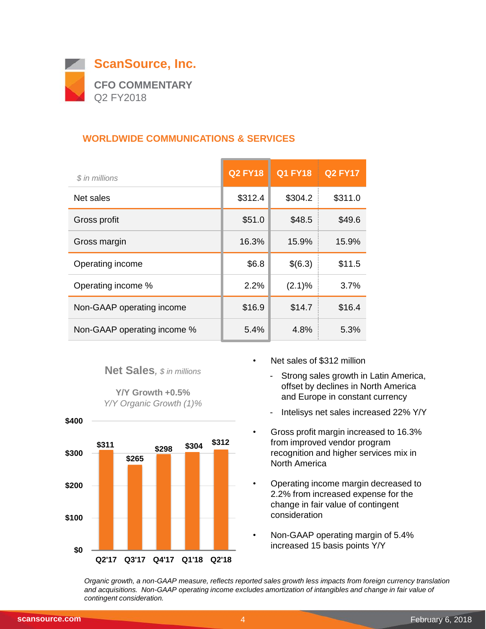

## **WORLDWIDE COMMUNICATIONS & SERVICES**

| \$ in millions              | <b>Q2 FY18</b> | <b>Q1 FY18</b> | <b>Q2 FY17</b> |
|-----------------------------|----------------|----------------|----------------|
| Net sales                   | \$312.4        | \$304.2        | \$311.0        |
| Gross profit                | \$51.0         | \$48.5         | \$49.6         |
| Gross margin                | 16.3%          | 15.9%          | 15.9%          |
| Operating income            | \$6.8          | \$(6.3)        | \$11.5         |
| Operating income %          | 2.2%           | $(2.1)\%$      | 3.7%           |
| Non-GAAP operating income   | \$16.9         | \$14.7         | \$16.4         |
| Non-GAAP operating income % | 5.4%           | 4.8%           | 5.3%           |

#### **Net Sales***, \$ in millions*

**Y/Y Growth +0.5%** *Y/Y Organic Growth (1)%*



- Net sales of \$312 million
	- Strong sales growth in Latin America, offset by declines in North America and Europe in constant currency
	- Intelisys net sales increased 22% Y/Y
- Gross profit margin increased to 16.3% from improved vendor program recognition and higher services mix in North America
- Operating income margin decreased to 2.2% from increased expense for the change in fair value of contingent consideration
- Non-GAAP operating margin of 5.4% increased 15 basis points Y/Y

*Organic growth, a non-GAAP measure, reflects reported sales growth less impacts from foreign currency translation and acquisitions. Non-GAAP operating income excludes amortization of intangibles and change in fair value of contingent consideration.*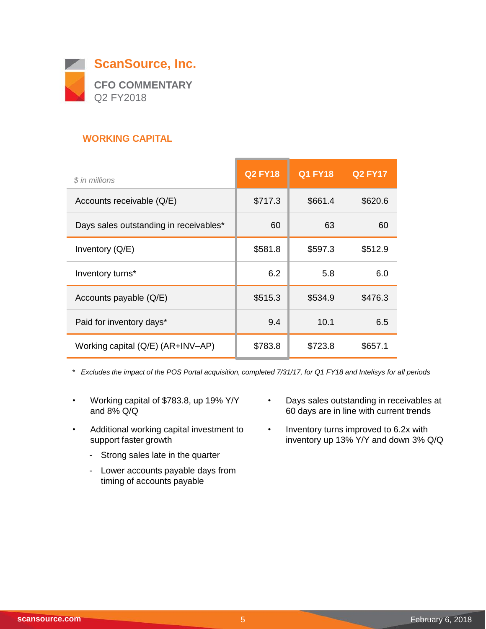

## **WORKING CAPITAL**

| \$ in millions                         | <b>Q2 FY18</b> | <b>Q1 FY18</b> | <b>Q2 FY17</b> |
|----------------------------------------|----------------|----------------|----------------|
| Accounts receivable (Q/E)              | \$717.3        | \$661.4        | \$620.6        |
| Days sales outstanding in receivables* | 60             | 63             | 60             |
| Inventory $(Q/E)$                      | \$581.8        | \$597.3        | \$512.9        |
| Inventory turns*                       | 6.2            | 5.8            | 6.0            |
| Accounts payable (Q/E)                 | \$515.3        | \$534.9        | \$476.3        |
| Paid for inventory days*               | 9.4            | 10.1           | 6.5            |
| Working capital (Q/E) (AR+INV-AP)      | \$783.8        | \$723.8        | \$657.1        |

*\* Excludes the impact of the POS Portal acquisition, completed 7/31/17, for Q1 FY18 and Intelisys for all periods*

- Working capital of \$783.8, up 19% Y/Y and 8% Q/Q
- Additional working capital investment to support faster growth
	- Strong sales late in the quarter
	- Lower accounts payable days from timing of accounts payable
- Days sales outstanding in receivables at 60 days are in line with current trends
- Inventory turns improved to 6.2x with inventory up 13% Y/Y and down 3% Q/Q

 $\overline{\phantom{a}}$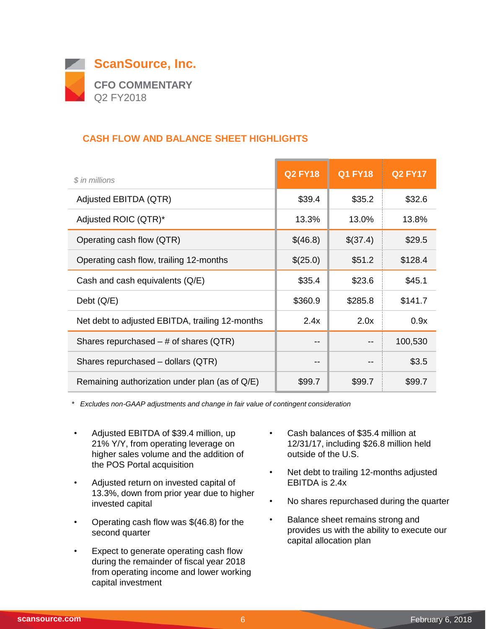

## **CASH FLOW AND BALANCE SHEET HIGHLIGHTS**

| $$$ in millions                                 | <b>Q2 FY18</b> | <b>Q1 FY18</b> | <b>Q2 FY17</b> |
|-------------------------------------------------|----------------|----------------|----------------|
| Adjusted EBITDA (QTR)                           | \$39.4         | \$35.2         | \$32.6         |
| Adjusted ROIC (QTR)*                            | 13.3%          | 13.0%          | 13.8%          |
| Operating cash flow (QTR)                       | \$(46.8)       | \$(37.4)       | \$29.5         |
| Operating cash flow, trailing 12-months         | \$(25.0)       | \$51.2         | \$128.4        |
| Cash and cash equivalents (Q/E)                 | \$35.4         | \$23.6         | \$45.1         |
| Debt $(Q/E)$                                    | \$360.9        | \$285.8        | \$141.7        |
| Net debt to adjusted EBITDA, trailing 12-months | 2.4x           | 2.0x           | 0.9x           |
| Shares repurchased $-$ # of shares (QTR)        | --             |                | 100,530        |
| Shares repurchased - dollars (QTR)              | --             |                | \$3.5          |
| Remaining authorization under plan (as of Q/E)  | \$99.7         | \$99.7         | \$99.7         |

*\* Excludes non-GAAP adjustments and change in fair value of contingent consideration*

- Adjusted EBITDA of \$39.4 million, up 21% Y/Y, from operating leverage on higher sales volume and the addition of the POS Portal acquisition
- Adjusted return on invested capital of 13.3%, down from prior year due to higher invested capital
- Operating cash flow was  $$(46.8)$  for the second quarter
- Expect to generate operating cash flow during the remainder of fiscal year 2018 from operating income and lower working capital investment
- Cash balances of \$35.4 million at 12/31/17, including \$26.8 million held outside of the U.S.
- Net debt to trailing 12-months adjusted EBITDA is 2.4x
- No shares repurchased during the quarter
- Balance sheet remains strong and provides us with the ability to execute our capital allocation plan

 $\overline{\phantom{0}}$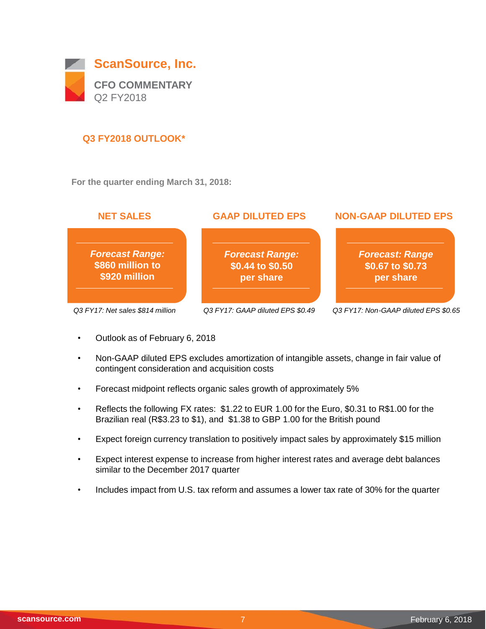

## **Q3 FY2018 OUTLOOK\***

**For the quarter ending March 31, 2018:**



- Outlook as of February 6, 2018
- Non-GAAP diluted EPS excludes amortization of intangible assets, change in fair value of contingent consideration and acquisition costs
- Forecast midpoint reflects organic sales growth of approximately 5%
- Reflects the following FX rates: \$1.22 to EUR 1.00 for the Euro, \$0.31 to R\$1.00 for the Brazilian real (R\$3.23 to \$1), and \$1.38 to GBP 1.00 for the British pound
- Expect foreign currency translation to positively impact sales by approximately \$15 million
- Expect interest expense to increase from higher interest rates and average debt balances similar to the December 2017 quarter
- Includes impact from U.S. tax reform and assumes a lower tax rate of 30% for the quarter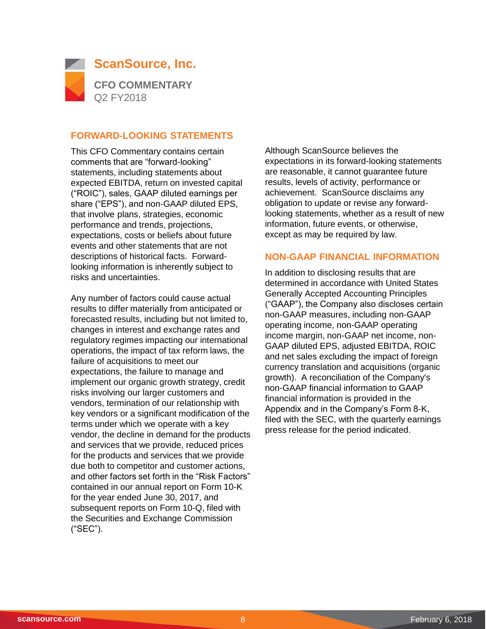

#### **FORWARD-LOOKING STATEMENTS**

This CFO Commentary contains certain comments that are "forward-looking" statements, including statements about expected EBITDA, return on invested capital ("ROIC"), sales, GAAP diluted earnings per share ("EPS"), and non-GAAP diluted EPS, that involve plans, strategies, economic performance and trends, projections, expectations, costs or beliefs about future events and other statements that are not descriptions of historical facts. Forwardlooking information is inherently subject to risks and uncertainties.

Any number of factors could cause actual results to differ materially from anticipated or forecasted results, including but not limited to, changes in interest and exchange rates and regulatory regimes impacting our international operations, the impact of tax reform laws, the failure of acquisitions to meet our expectations, the failure to manage and implement our organic growth strategy, credit risks involving our larger customers and vendors, termination of our relationship with key vendors or a significant modification of the terms under which we operate with a key vendor, the decline in demand for the products and services that we provide, reduced prices for the products and services that we provide due both to competitor and customer actions, and other factors set forth in the "Risk Factors" contained in our annual report on Form 10-K for the year ended June 30, 2017, and subsequent reports on Form 10-Q, filed with the Securities and Exchange Commission ("SEC").

Although ScanSource believes the expectations in its forward-looking statements are reasonable, it cannot guarantee future results, levels of activity, performance or achievement. ScanSource disclaims any obligation to update or revise any forwardlooking statements, whether as a result of new information, future events, or otherwise, except as may be required by law.

#### **NON-GAAP FINANCIAL INFORMATION**

In addition to disclosing results that are determined in accordance with United States Generally Accepted Accounting Principles ("GAAP"), the Company also discloses certain non-GAAP measures, including non-GAAP operating income, non-GAAP operating income margin, non-GAAP net income, non-GAAP diluted EPS, adjusted EBITDA, ROIC and net sales excluding the impact of foreign currency translation and acquisitions (organic growth). A reconciliation of the Company's non-GAAP financial information to GAAP financial information is provided in the Appendix and in the Company's Form 8-K, filed with the SEC, with the quarterly earnings press release for the period indicated.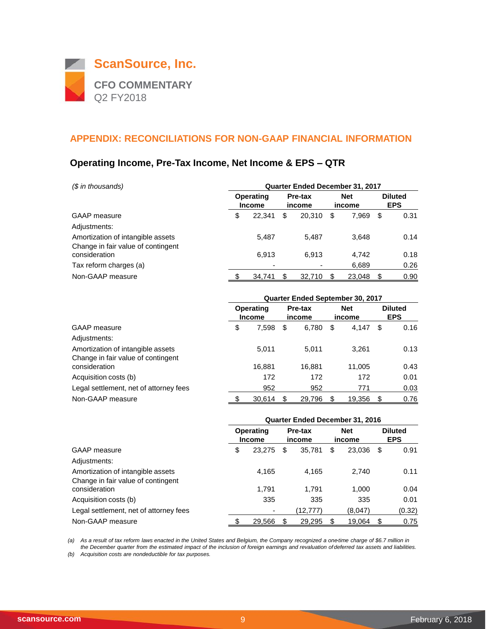

## **Operating Income, Pre-Tax Income, Net Income & EPS – QTR**

| $$$ in thousands)                                                       | <b>Quarter Ended December 31, 2017</b> |                                   |                   |        |                      |        |                              |      |
|-------------------------------------------------------------------------|----------------------------------------|-----------------------------------|-------------------|--------|----------------------|--------|------------------------------|------|
|                                                                         |                                        | <b>Operating</b><br><b>Income</b> | Pre-tax<br>income |        | <b>Net</b><br>income |        | <b>Diluted</b><br><b>EPS</b> |      |
| <b>GAAP</b> measure                                                     | \$                                     | 22.341                            | \$                | 20.310 | \$                   | 7.969  | \$                           | 0.31 |
| Adjustments:                                                            |                                        |                                   |                   |        |                      |        |                              |      |
| Amortization of intangible assets<br>Change in fair value of contingent |                                        | 5.487                             |                   | 5.487  |                      | 3.648  |                              | 0.14 |
| consideration                                                           |                                        | 6,913                             |                   | 6.913  |                      | 4,742  |                              | 0.18 |
| Tax reform charges (a)                                                  |                                        | ۰                                 |                   | ۰      |                      | 6,689  |                              | 0.26 |
| Non-GAAP measure                                                        |                                        | 34.741                            |                   | 32.710 | \$                   | 23.048 | S                            | 0.90 |

|                                        | <b>Quarter Ended September 30, 2017</b> |                            |                   |        |                      |        |                              |      |
|----------------------------------------|-----------------------------------------|----------------------------|-------------------|--------|----------------------|--------|------------------------------|------|
|                                        |                                         | Operating<br><b>Income</b> | Pre-tax<br>income |        | <b>Net</b><br>income |        | <b>Diluted</b><br><b>EPS</b> |      |
| <b>GAAP</b> measure                    | \$                                      | 7,598                      | S                 | 6,780  | \$                   | 4.147  | S                            | 0.16 |
| Adjustments:                           |                                         |                            |                   |        |                      |        |                              |      |
| Amortization of intangible assets      |                                         | 5.011                      |                   | 5.011  |                      | 3.261  |                              | 0.13 |
| Change in fair value of contingent     |                                         |                            |                   |        |                      |        |                              |      |
| consideration                          |                                         | 16,881                     |                   | 16,881 |                      | 11,005 |                              | 0.43 |
| Acquisition costs (b)                  |                                         | 172                        |                   | 172    |                      | 172    |                              | 0.01 |
| Legal settlement, net of attorney fees |                                         | 952                        |                   | 952    |                      | 771    |                              | 0.03 |
| Non-GAAP measure                       |                                         | 30.614                     | S                 | 29.796 | \$                   | 19,356 |                              | 0.76 |

|                                                                         | <b>Quarter Ended December 31, 2016</b> |        |    |                   |    |                      |      |                              |  |
|-------------------------------------------------------------------------|----------------------------------------|--------|----|-------------------|----|----------------------|------|------------------------------|--|
|                                                                         | Operating<br><b>Income</b>             |        |    | Pre-tax<br>income |    | <b>Net</b><br>income |      | <b>Diluted</b><br><b>EPS</b> |  |
| GAAP measure                                                            |                                        | 23,275 | \$ | 35,781            | \$ | 23,036               | - \$ | 0.91                         |  |
| Adjustments:                                                            |                                        |        |    |                   |    |                      |      |                              |  |
| Amortization of intangible assets<br>Change in fair value of contingent |                                        | 4,165  |    | 4,165             |    | 2.740                |      | 0.11                         |  |
| consideration                                                           |                                        | 1.791  |    | 1.791             |    | 1,000                |      | 0.04                         |  |
| Acquisition costs (b)                                                   |                                        | 335    |    | 335               |    | 335                  |      | 0.01                         |  |
| Legal settlement, net of attorney fees                                  |                                        |        |    | (12.777)          |    | (8,047)              |      | (0.32)                       |  |
| Non-GAAP measure                                                        |                                        | 29.566 | S  | 29.295            | \$ | 19.064               | S    | 0.75                         |  |

*(a) As a result of tax reform laws enacted in the United States and Belgium, the Company recognized a one-time charge of \$6.7 million in the December quarter from the estimated impact of the inclusion of foreign earnings and revaluation of deferred tax assets and liabilities.*

*(b) Acquisition costs are nondeductible for tax purposes.*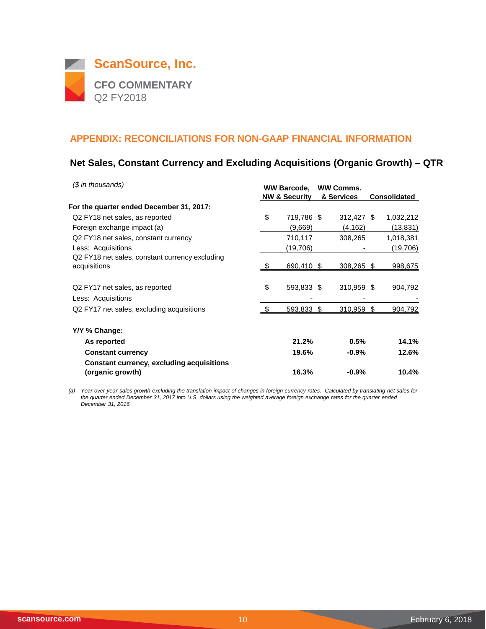

## **Net Sales, Constant Currency and Excluding Acquisitions (Organic Growth) – QTR**

| $$$ in thousands)                                                    | <b>WW Barcode,</b><br><b>NW &amp; Security</b> | <b>WW Comms.</b><br>& Services | <b>Consolidated</b> |
|----------------------------------------------------------------------|------------------------------------------------|--------------------------------|---------------------|
| For the quarter ended December 31, 2017:                             |                                                |                                |                     |
| Q <sub>2</sub> FY <sub>18</sub> net sales, as reported               | \$<br>719,786 \$                               | 312,427 \$                     | 1,032,212           |
| Foreign exchange impact (a)                                          | (9,669)                                        | (4, 162)                       | (13, 831)           |
| Q2 FY18 net sales, constant currency                                 | 710,117                                        | 308,265                        | 1,018,381           |
| Less: Acquisitions                                                   | (19,706)                                       |                                | (19, 706)           |
| Q2 FY18 net sales, constant currency excluding<br>acquisitions       | 690,410 \$                                     | 308,265 \$                     | 998,675             |
| Q <sub>2</sub> FY <sub>17</sub> net sales, as reported               | \$<br>593,833 \$                               | 310,959 \$                     | 904,792             |
| Less: Acquisitions                                                   |                                                |                                |                     |
| Q2 FY17 net sales, excluding acquisitions                            | 593,833                                        | \$<br>310,959                  | \$<br>904,792       |
| Y/Y % Change:                                                        |                                                |                                |                     |
| As reported                                                          | 21.2%                                          | 0.5%                           | 14.1%               |
| <b>Constant currency</b>                                             | 19.6%                                          | $-0.9%$                        | 12.6%               |
| <b>Constant currency, excluding acquisitions</b><br>(organic growth) | 16.3%                                          | $-0.9%$                        | 10.4%               |

*(a) Year-over-year sales growth excluding the translation impact of changes in foreign currency rates. Calculated by translating net sales for the quarter ended December 31, 2017 into U.S. dollars using the weighted average foreign exchange rates for the quarter ended December 31, 2016.*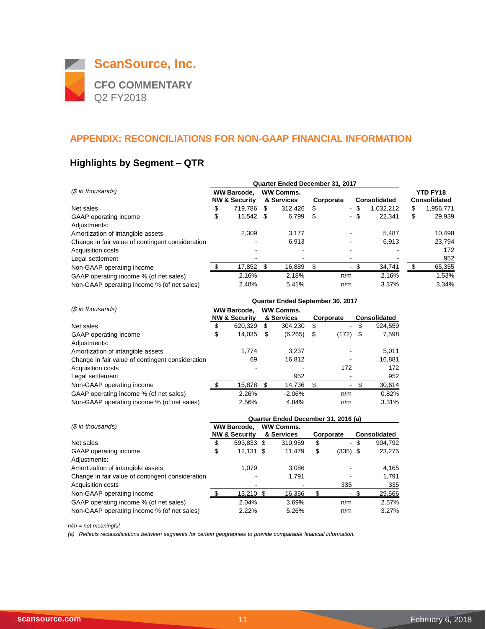

## **Highlights by Segment – QTR**

|                                                  | Quarter Ended December 31, 2017 |                          |   |                  |    |                          |      |              |    |                     |  |
|--------------------------------------------------|---------------------------------|--------------------------|---|------------------|----|--------------------------|------|--------------|----|---------------------|--|
| (\$ in thousands)                                |                                 | <b>WW Barcode.</b>       |   | <b>WW Comms.</b> |    |                          |      |              |    | <b>YTD FY18</b>     |  |
|                                                  |                                 | <b>NW &amp; Security</b> |   | & Services       |    | Corporate                |      | Consolidated |    | <b>Consolidated</b> |  |
| Net sales                                        | \$                              | 719.786                  | S | 312.426          | S  |                          | - \$ | 1,032,212    | \$ | 1,956,771           |  |
| GAAP operating income                            | \$                              | 15.542 \$                |   | 6,799            | S  |                          | - \$ | 22.341       | \$ | 29,939              |  |
| Adjustments:                                     |                                 |                          |   |                  |    |                          |      |              |    |                     |  |
| Amortization of intangible assets                |                                 | 2,309                    |   | 3,177            |    |                          |      | 5.487        |    | 10,498              |  |
| Change in fair value of contingent consideration |                                 |                          |   | 6.913            |    | $\blacksquare$           |      | 6.913        |    | 23,794              |  |
| Acquisition costs                                |                                 |                          |   |                  |    |                          |      |              |    | 172                 |  |
| Legal settlement                                 |                                 |                          |   |                  |    |                          |      |              |    | 952                 |  |
| Non-GAAP operating income                        |                                 | 17,852 \$                |   | 16,889           | £. | $\overline{\phantom{0}}$ |      | 34,741       |    | 65,355              |  |
| GAAP operating income % (of net sales)           |                                 | 2.16%                    |   | 2.18%            |    | n/m                      |      | 2.16%        |    | 1.53%               |  |
| Non-GAAP operating income % (of net sales)       |                                 | 2.48%                    |   | 5.41%            |    | n/m                      |      | 3.37%        |    | 3.34%               |  |

|                                                  | Quarter Ended September 30, 2017               |         |     |                                |    |                |    |                     |  |  |  |
|--------------------------------------------------|------------------------------------------------|---------|-----|--------------------------------|----|----------------|----|---------------------|--|--|--|
| (\$ in thousands)                                | <b>WW Barcode.</b><br><b>NW &amp; Security</b> |         |     | <b>WW Comms.</b><br>& Services |    | Corporate      |    | <b>Consolidated</b> |  |  |  |
| Net sales                                        | \$                                             | 620.329 | \$  | 304.230                        | \$ | $\blacksquare$ | \$ | 924,559             |  |  |  |
| GAAP operating income                            | \$                                             | 14,035  | \$. | (6,265)                        | \$ | (172)          | \$ | 7,598               |  |  |  |
| Adjustments:                                     |                                                |         |     |                                |    |                |    |                     |  |  |  |
| Amortization of intangible assets                |                                                | 1.774   |     | 3.237                          |    |                |    | 5,011               |  |  |  |
| Change in fair value of contingent consideration |                                                | 69      |     | 16.812                         |    |                |    | 16,881              |  |  |  |
| Acquisition costs                                |                                                |         |     |                                |    | 172            |    | 172                 |  |  |  |
| Legal settlement                                 |                                                |         |     | 952                            |    |                |    | 952                 |  |  |  |
| Non-GAAP operating income                        |                                                | 15,878  | -S  | 14,736                         |    |                |    | 30,614              |  |  |  |
| GAAP operating income % (of net sales)           |                                                | 2.26%   |     | $-2.06%$                       |    | n/m            |    | 0.82%               |  |  |  |
| Non-GAAP operating income % (of net sales)       |                                                | 2.56%   |     | 4.84%                          |    | n/m            |    | 3.31%               |  |  |  |

|                                                  | Quarter Ended December 31, 2016 (a) |                          |  |                  |    |                          |                     |         |  |  |  |
|--------------------------------------------------|-------------------------------------|--------------------------|--|------------------|----|--------------------------|---------------------|---------|--|--|--|
| (\$ in thousands)                                |                                     | <b>WW Barcode.</b>       |  | <b>WW Comms.</b> |    |                          |                     |         |  |  |  |
|                                                  |                                     | <b>NW &amp; Security</b> |  | & Services       |    | Corporate                | <b>Consolidated</b> |         |  |  |  |
| Net sales                                        | \$                                  | 593,833 \$               |  | 310,959          | \$ |                          | - \$                | 904,792 |  |  |  |
| GAAP operating income                            | \$                                  | $12,131$ \$              |  | 11,479           | \$ | (335) \$                 |                     | 23,275  |  |  |  |
| Adjustments:                                     |                                     |                          |  |                  |    |                          |                     |         |  |  |  |
| Amortization of intangible assets                |                                     | 1.079                    |  | 3,086            |    |                          |                     | 4,165   |  |  |  |
| Change in fair value of contingent consideration |                                     |                          |  | 1.791            |    |                          |                     | 1.791   |  |  |  |
| <b>Acquisition costs</b>                         |                                     |                          |  |                  |    | 335                      |                     | 335     |  |  |  |
| Non-GAAP operating income                        |                                     | 13.210 \$                |  | 16,356           |    | $\overline{\phantom{a}}$ |                     | 29,566  |  |  |  |
| GAAP operating income % (of net sales)           |                                     | 2.04%                    |  | 3.69%            |    | n/m                      |                     | 2.57%   |  |  |  |
| Non-GAAP operating income % (of net sales)       |                                     | 2.22%                    |  | 5.26%            |    | n/m                      |                     | 3.27%   |  |  |  |

*n/m = not meaningful*

*(a) Reflects reclassifications between segments for certain geographies to provide comparable financial information.*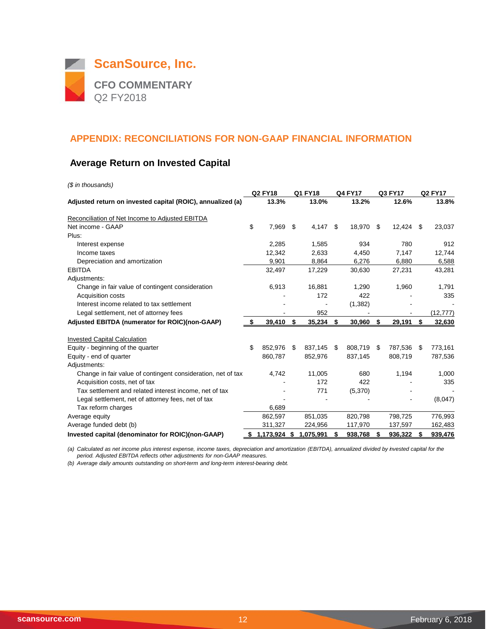

## **Average Return on Invested Capital**

| (\$ in thousands)                                            |    |                |      |             |     |                |     |         |                |           |  |
|--------------------------------------------------------------|----|----------------|------|-------------|-----|----------------|-----|---------|----------------|-----------|--|
| Adjusted return on invested capital (ROIC), annualized (a)   |    | <b>Q2 FY18</b> |      | Q1 FY18     |     | <b>Q4 FY17</b> |     | Q3 FY17 | <b>Q2 FY17</b> |           |  |
|                                                              |    | 13.3%          |      | 13.0%       |     | 13.2%          |     | 12.6%   |                | 13.8%     |  |
| Reconciliation of Net Income to Adjusted EBITDA              |    |                |      |             |     |                |     |         |                |           |  |
| Net income - GAAP                                            | \$ | 7,969          | -\$  | 4,147       | -\$ | 18,970         | -\$ | 12,424  | - \$           | 23,037    |  |
| Plus:                                                        |    |                |      |             |     |                |     |         |                |           |  |
| Interest expense                                             |    | 2,285          |      | 1,585       |     | 934            |     | 780     |                | 912       |  |
| Income taxes                                                 |    | 12,342         |      | 2,633       |     | 4,450          |     | 7,147   |                | 12,744    |  |
| Depreciation and amortization                                |    | 9,901          |      | 8,864       |     | 6,276          |     | 6,880   |                | 6,588     |  |
| <b>EBITDA</b>                                                |    | 32,497         |      | 17,229      |     | 30,630         |     | 27,231  |                | 43,281    |  |
| Adjustments:                                                 |    |                |      |             |     |                |     |         |                |           |  |
| Change in fair value of contingent consideration             |    | 6,913          |      | 16,881      |     | 1,290          |     | 1,960   |                | 1,791     |  |
| <b>Acquisition costs</b>                                     |    |                |      | 172         |     | 422            |     |         |                | 335       |  |
| Interest income related to tax settlement                    |    |                |      |             |     | (1, 382)       |     |         |                |           |  |
| Legal settlement, net of attorney fees                       |    |                |      | 952         |     |                |     |         |                | (12, 777) |  |
| Adjusted EBITDA (numerator for ROIC)(non-GAAP)               |    | 39,410         | - \$ | $35,234$ \$ |     | $30,960$ \$    |     | 29,191  | S.             | 32,630    |  |
| <b>Invested Capital Calculation</b>                          |    |                |      |             |     |                |     |         |                |           |  |
| Equity - beginning of the quarter                            | \$ | 852,976        | \$   | 837.145     | \$  | 808.719        | \$  | 787,536 | -\$            | 773,161   |  |
| Equity - end of quarter                                      |    | 860,787        |      | 852,976     |     | 837,145        |     | 808,719 |                | 787,536   |  |
| Adjustments:                                                 |    |                |      |             |     |                |     |         |                |           |  |
| Change in fair value of contingent consideration, net of tax |    | 4,742          |      | 11,005      |     | 680            |     | 1,194   |                | 1,000     |  |
| Acquisition costs, net of tax                                |    |                |      | 172         |     | 422            |     |         |                | 335       |  |
| Tax settlement and related interest income, net of tax       |    |                |      | 771         |     | (5,370)        |     |         |                |           |  |
| Legal settlement, net of attorney fees, net of tax           |    |                |      |             |     |                |     |         |                | (8,047)   |  |
| Tax reform charges                                           |    | 6,689          |      |             |     |                |     |         |                |           |  |
| Average equity                                               |    | 862,597        |      | 851,035     |     | 820,798        |     | 798,725 |                | 776,993   |  |
| Average funded debt (b)                                      |    | 311,327        |      | 224,956     |     | 117,970        |     | 137,597 |                | 162,483   |  |
| Invested capital (denominator for ROIC)(non-GAAP)            | S. | 1,173,924      | \$   | 1,075,991   | S   | 938,768        | S   | 936,322 |                | 939,476   |  |

*(a) Calculated as net income plus interest expense, income taxes, depreciation and amortization (EBITDA), annualized divided by invested capital for the period. Adjusted EBITDA reflects other adjustments for non-GAAP measures.*

*(b) Average daily amounts outstanding on short-term and long-term interest-bearing debt.*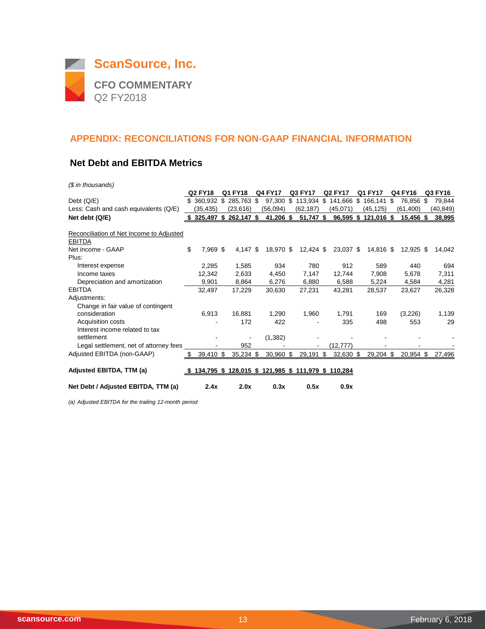

#### **Net Debt and EBITDA Metrics**

*(\$ in thousands)*

|                                                           |      | <b>Q2 FY18</b> | Q1 FY18     | <b>Q4 FY17</b>                                      | Q3 FY17       |     | <b>Q2 FY17</b> | Q1 FY17    | Q4 FY16         | Q3 FY16   |
|-----------------------------------------------------------|------|----------------|-------------|-----------------------------------------------------|---------------|-----|----------------|------------|-----------------|-----------|
| Debt $(Q/E)$                                              | \$   | 360,932 \$     | 285,763 \$  | 97,300                                              | \$<br>113,934 | \$  | 141,666 \$     | 166,141    | \$<br>76,856 \$ | 79,844    |
| Less: Cash and cash equivalents (Q/E)                     |      | (35,435)       | (23, 616)   | (56,094)                                            | (62, 187)     |     | (45,071)       | (45,125)   | (61, 400)       | (40, 849) |
| Net debt (Q/E)                                            | s.   | 325,497 \$     | 262,147 \$  | 41,206 \$                                           | 51,747 \$     |     | $96,595$ \$    | 121,016 \$ | 15,456 \$       | 38,995    |
| Reconciliation of Net Income to Adjusted<br><b>EBITDA</b> |      |                |             |                                                     |               |     |                |            |                 |           |
| Net income - GAAP                                         | \$   | 7,969 \$       | $4,147$ \$  | 18,970 \$                                           | $12,424$ \$   |     | 23,037 \$      | 14,816 \$  | $12,925$ \$     | 14,042    |
| Plus:                                                     |      |                |             |                                                     |               |     |                |            |                 |           |
| Interest expense                                          |      | 2,285          | 1,585       | 934                                                 | 780           |     | 912            | 589        | 440             | 694       |
| Income taxes                                              |      | 12,342         | 2,633       | 4,450                                               | 7,147         |     | 12,744         | 7,908      | 5,678           | 7,311     |
| Depreciation and amortization                             |      | 9,901          | 8,864       | 6,276                                               | 6,880         |     | 6,588          | 5,224      | 4,584           | 4,281     |
| <b>EBITDA</b>                                             |      | 32,497         | 17,229      | 30,630                                              | 27,231        |     | 43,281         | 28,537     | 23,627          | 26,328    |
| Adjustments:                                              |      |                |             |                                                     |               |     |                |            |                 |           |
| Change in fair value of contingent                        |      |                |             |                                                     |               |     |                |            |                 |           |
| consideration                                             |      | 6,913          | 16,881      | 1,290                                               | 1,960         |     | 1,791          | 169        | (3,226)         | 1,139     |
| Acquisition costs                                         |      |                | 172         | 422                                                 |               |     | 335            | 498        | 553             | 29        |
| Interest income related to tax                            |      |                |             |                                                     |               |     |                |            |                 |           |
| settlement                                                |      |                |             | (1, 382)                                            |               |     |                |            |                 |           |
| Legal settlement, net of attorney fees                    |      |                | 952         |                                                     |               |     | (12,777)       |            |                 |           |
| Adjusted EBITDA (non-GAAP)                                | \$   | 39,410 \$      | $35,234$ \$ | $30,960$ \$                                         | 29,191        | -\$ | 32,630 \$      | 29,204 \$  | 20,954 \$       | 27,496    |
| Adjusted EBITDA, TTM (a)                                  | - 56 |                |             | 134,795 \$ 128,015 \$ 121,985 \$ 111,979 \$ 110,284 |               |     |                |            |                 |           |
| Net Debt / Adjusted EBITDA, TTM (a)                       |      | 2.4x           | 2.0x        | 0.3x                                                | 0.5x          |     | 0.9x           |            |                 |           |

*(a) Adjusted EBITDA for the trailing 12-month period*